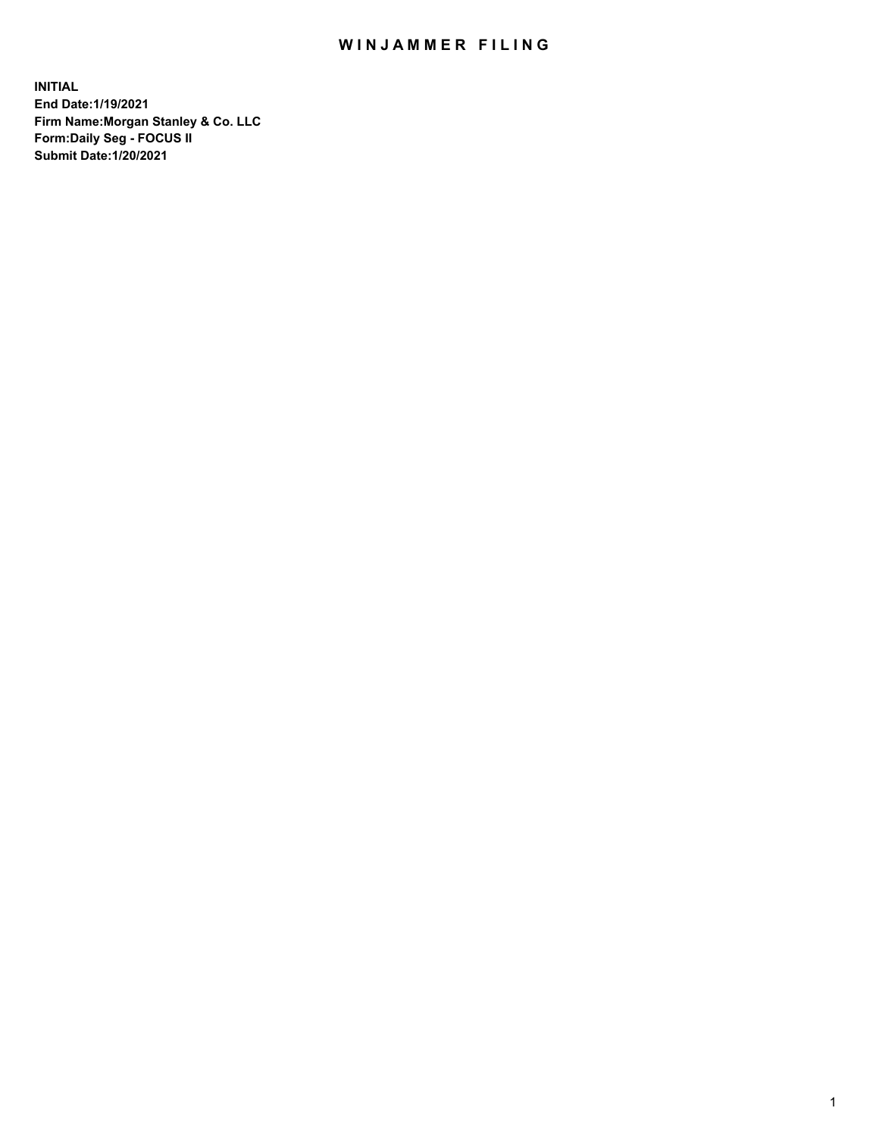## WIN JAMMER FILING

**INITIAL End Date:1/19/2021 Firm Name:Morgan Stanley & Co. LLC Form:Daily Seg - FOCUS II Submit Date:1/20/2021**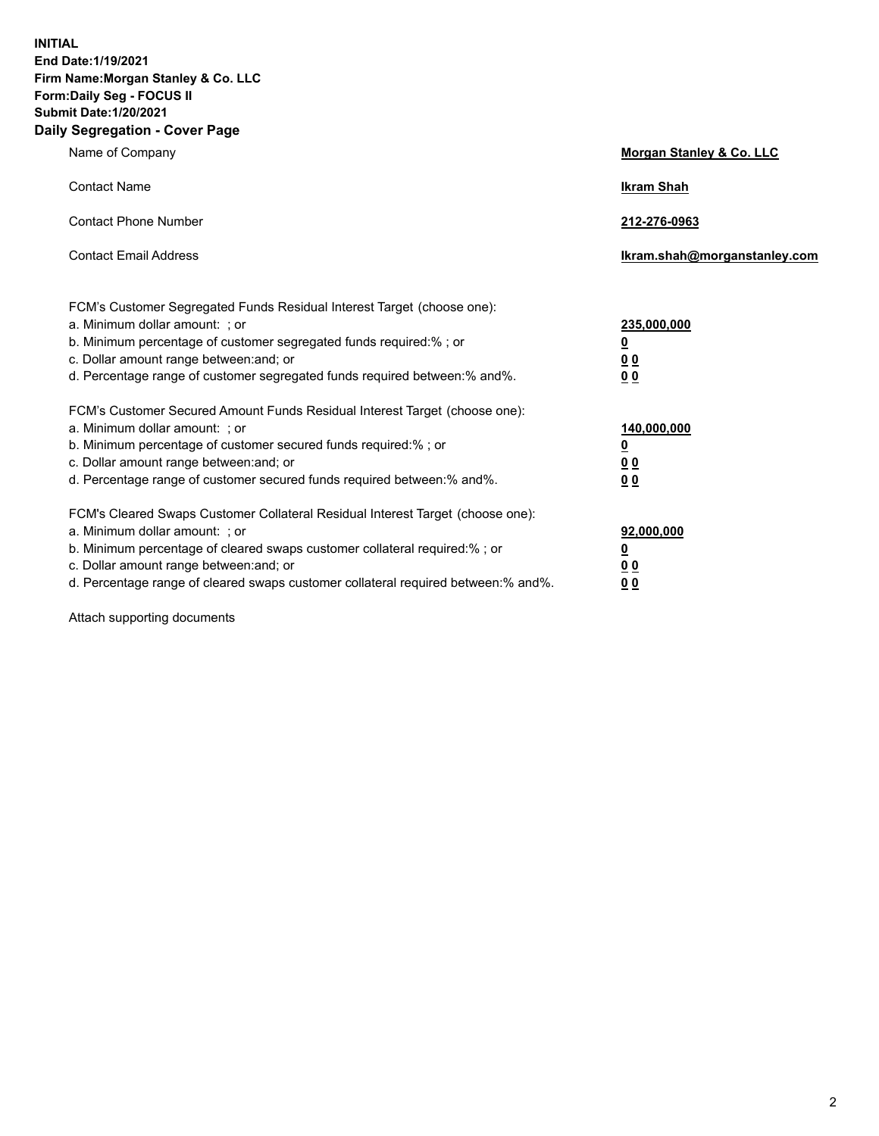**INITIAL End Date:1/19/2021 Firm Name:Morgan Stanley & Co. LLC Form:Daily Seg - FOCUS II Submit Date:1/20/2021 Daily Segregation - Cover Page**

| Name of Company                                                                                                                                                                                                                                                                                                                | Morgan Stanley & Co. LLC                                    |
|--------------------------------------------------------------------------------------------------------------------------------------------------------------------------------------------------------------------------------------------------------------------------------------------------------------------------------|-------------------------------------------------------------|
| <b>Contact Name</b>                                                                                                                                                                                                                                                                                                            | <b>Ikram Shah</b>                                           |
| <b>Contact Phone Number</b>                                                                                                                                                                                                                                                                                                    | 212-276-0963                                                |
| <b>Contact Email Address</b>                                                                                                                                                                                                                                                                                                   | lkram.shah@morganstanley.com                                |
| FCM's Customer Segregated Funds Residual Interest Target (choose one):<br>a. Minimum dollar amount: ; or<br>b. Minimum percentage of customer segregated funds required:% ; or<br>c. Dollar amount range between: and; or<br>d. Percentage range of customer segregated funds required between:% and%.                         | 235,000,000<br><u>0</u><br>0 <sup>0</sup><br>00             |
| FCM's Customer Secured Amount Funds Residual Interest Target (choose one):<br>a. Minimum dollar amount: : or<br>b. Minimum percentage of customer secured funds required:%; or<br>c. Dollar amount range between: and; or<br>d. Percentage range of customer secured funds required between: % and %.                          | 140,000,000<br><u>0</u><br>0 <sub>0</sub><br>0 <sub>0</sub> |
| FCM's Cleared Swaps Customer Collateral Residual Interest Target (choose one):<br>a. Minimum dollar amount: ; or<br>b. Minimum percentage of cleared swaps customer collateral required:% ; or<br>c. Dollar amount range between: and; or<br>d. Percentage range of cleared swaps customer collateral required between:% and%. | 92,000,000<br><u>0</u><br><u>00</u><br>00                   |

Attach supporting documents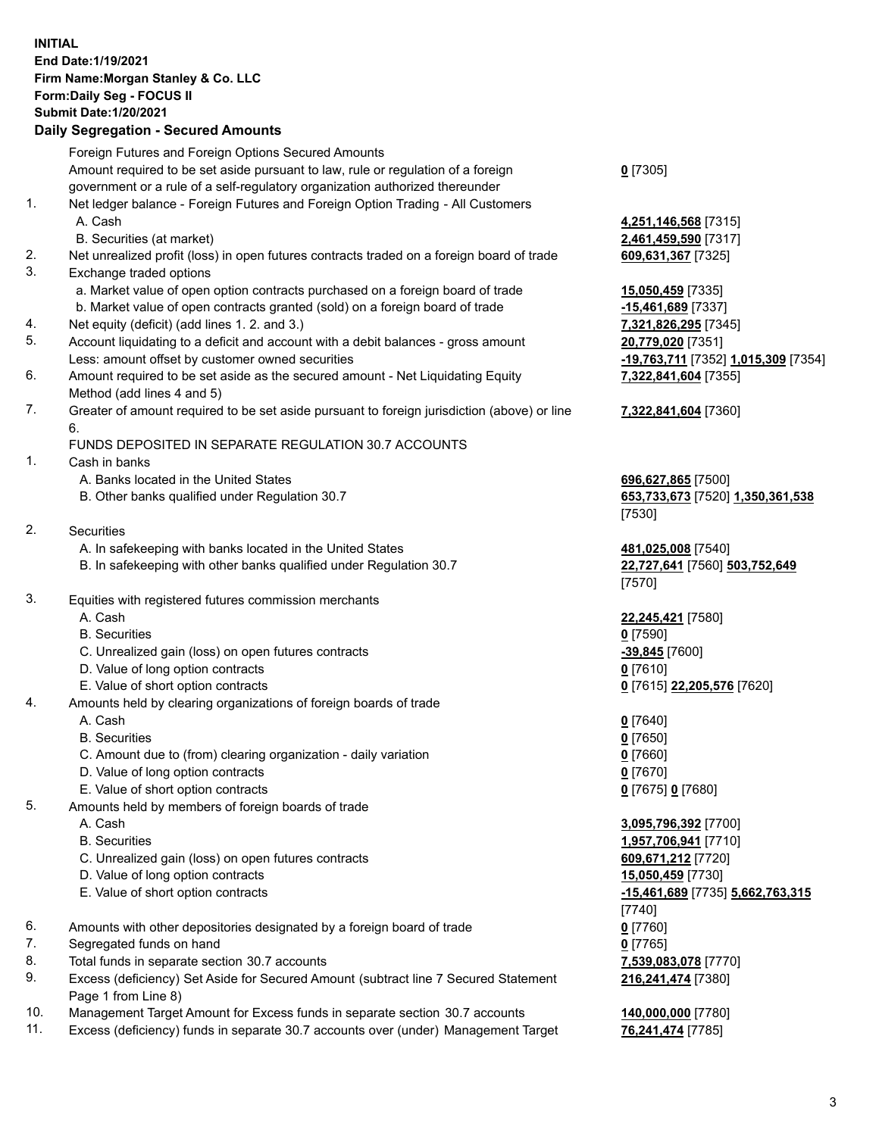## **INITIAL End Date:1/19/2021 Firm Name:Morgan Stanley & Co. LLC Form:Daily Seg - FOCUS II Submit Date:1/20/2021**

## **Daily Segregation - Secured Amounts**

Foreign Futures and Foreign Options Secured Amounts Amount required to be set aside pursuant to law, rule or regulation of a foreign government or a rule of a self-regulatory organization authorized thereunder 1. Net ledger balance - Foreign Futures and Foreign Option Trading - All Customers A. Cash **4,251,146,568** [7315] B. Securities (at market) **2,461,459,590** [7317] 2. Net unrealized profit (loss) in open futures contracts traded on a foreign board of trade **609,631,367** [7325] 3. Exchange traded options a. Market value of open option contracts purchased on a foreign board of trade **15,050,459** [7335] b. Market value of open contracts granted (sold) on a foreign board of trade **-15,461,689** [7337] 4. Net equity (deficit) (add lines 1. 2. and 3.) **7,321,826,295** [7345] 5. Account liquidating to a deficit and account with a debit balances - gross amount **20,779,020** [7351] Less: amount offset by customer owned securities **-19,763,711** [7352] **1,015,309** [7354] 6. Amount required to be set aside as the secured amount - Net Liquidating Equity Method (add lines 4 and 5) 7. Greater of amount required to be set aside pursuant to foreign jurisdiction (above) or line 6. FUNDS DEPOSITED IN SEPARATE REGULATION 30.7 ACCOUNTS 1. Cash in banks A. Banks located in the United States **696,627,865** [7500] B. Other banks qualified under Regulation 30.7 **653,733,673** [7520] **1,350,361,538** 2. Securities A. In safekeeping with banks located in the United States **481,025,008** [7540] B. In safekeeping with other banks qualified under Regulation 30.7 **22,727,641** [7560] **503,752,649** 3. Equities with registered futures commission merchants A. Cash **22,245,421** [7580] B. Securities **0** [7590] C. Unrealized gain (loss) on open futures contracts **-39,845** [7600] D. Value of long option contracts **0** [7610] E. Value of short option contracts **0** [7615] **22,205,576** [7620] 4. Amounts held by clearing organizations of foreign boards of trade A. Cash **0** [7640] B. Securities **0** [7650] C. Amount due to (from) clearing organization - daily variation **0** [7660] D. Value of long option contracts **0** [7670] E. Value of short option contracts **0** [7675] **0** [7680] 5. Amounts held by members of foreign boards of trade A. Cash **3,095,796,392** [7700] B. Securities **1,957,706,941** [7710] C. Unrealized gain (loss) on open futures contracts **609,671,212** [7720] D. Value of long option contracts **15,050,459** [7730] E. Value of short option contracts **-15,461,689** [7735] **5,662,763,315** 6. Amounts with other depositories designated by a foreign board of trade **0** [7760] 7. Segregated funds on hand **0** [7765] 8. Total funds in separate section 30.7 accounts **7,539,083,078** [7770] 9. Excess (deficiency) Set Aside for Secured Amount (subtract line 7 Secured Statement Page 1 from Line 8)

- 10. Management Target Amount for Excess funds in separate section 30.7 accounts **140,000,000** [7780]
- 11. Excess (deficiency) funds in separate 30.7 accounts over (under) Management Target **76,241,474** [7785]

**0** [7305]

**7,322,841,604** [7355]

## **7,322,841,604** [7360]

[7530]

[7570]

[7740] **216,241,474** [7380]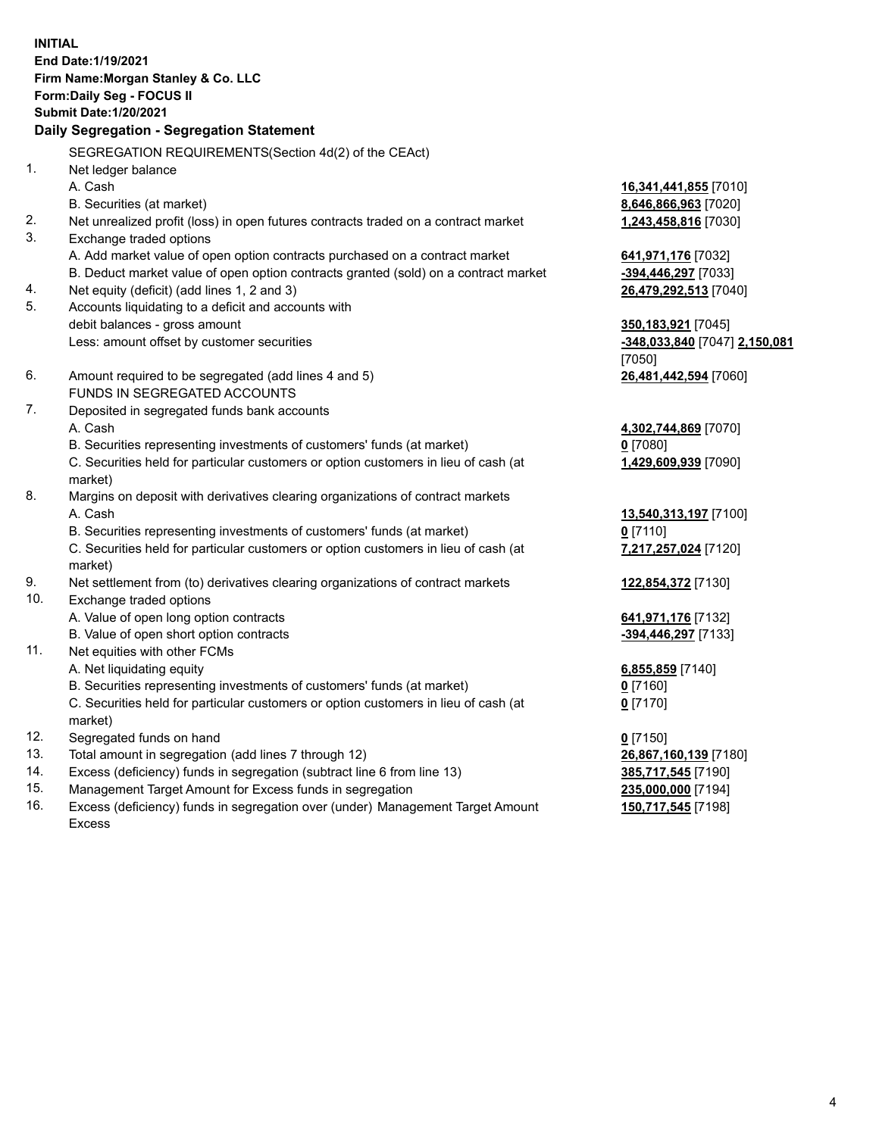**INITIAL End Date:1/19/2021 Firm Name:Morgan Stanley & Co. LLC Form:Daily Seg - FOCUS II Submit Date:1/20/2021 Daily Segregation - Segregation Statement** SEGREGATION REQUIREMENTS(Section 4d(2) of the CEAct) 1. Net ledger balance A. Cash **16,341,441,855** [7010] B. Securities (at market) **8,646,866,963** [7020] 2. Net unrealized profit (loss) in open futures contracts traded on a contract market **1,243,458,816** [7030] 3. Exchange traded options A. Add market value of open option contracts purchased on a contract market **641,971,176** [7032] B. Deduct market value of open option contracts granted (sold) on a contract market **-394,446,297** [7033] 4. Net equity (deficit) (add lines 1, 2 and 3) **26,479,292,513** [7040] 5. Accounts liquidating to a deficit and accounts with debit balances - gross amount **350,183,921** [7045] Less: amount offset by customer securities **-348,033,840** [7047] **2,150,081** [7050] 6. Amount required to be segregated (add lines 4 and 5) **26,481,442,594** [7060] FUNDS IN SEGREGATED ACCOUNTS 7. Deposited in segregated funds bank accounts A. Cash **4,302,744,869** [7070] B. Securities representing investments of customers' funds (at market) **0** [7080] C. Securities held for particular customers or option customers in lieu of cash (at market) **1,429,609,939** [7090] 8. Margins on deposit with derivatives clearing organizations of contract markets A. Cash **13,540,313,197** [7100] B. Securities representing investments of customers' funds (at market) **0** [7110] C. Securities held for particular customers or option customers in lieu of cash (at market) **7,217,257,024** [7120] 9. Net settlement from (to) derivatives clearing organizations of contract markets **122,854,372** [7130] 10. Exchange traded options A. Value of open long option contracts **641,971,176** [7132] B. Value of open short option contracts **and the set of our original contracts -394,446,297** [7133] 11. Net equities with other FCMs A. Net liquidating equity **6,855,859** [7140] B. Securities representing investments of customers' funds (at market) **0** [7160] C. Securities held for particular customers or option customers in lieu of cash (at market) **0** [7170] 12. Segregated funds on hand **0** [7150] 13. Total amount in segregation (add lines 7 through 12) **26,867,160,139** [7180] 14. Excess (deficiency) funds in segregation (subtract line 6 from line 13) **385,717,545** [7190]

- 15. Management Target Amount for Excess funds in segregation **235,000,000** [7194]
- 16. Excess (deficiency) funds in segregation over (under) Management Target Amount Excess

**150,717,545** [7198]